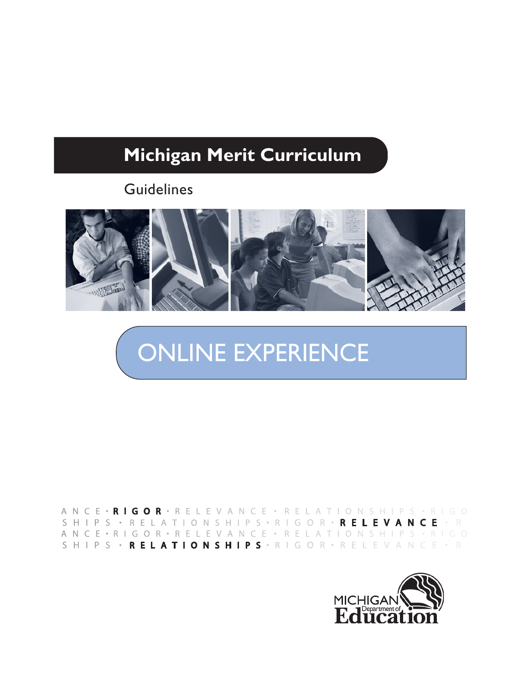

ANCE • RIGOR • RELEVANCE • RELATIONSHIPS • RIGO S H I P S · R E L A T I O N S H I P S · R I G O R · R E L E V A N C E · R I ANCE · RIGOR · RELEVANCE · RELATIONSHIPS · RIGO SHIPS • RELATIONSHIPS • RIGOR • RELEVANCE • RI

2000年10月

ONLINE EXPERIENCE

# **Guidelines**

**Michigan Merit Curriculum**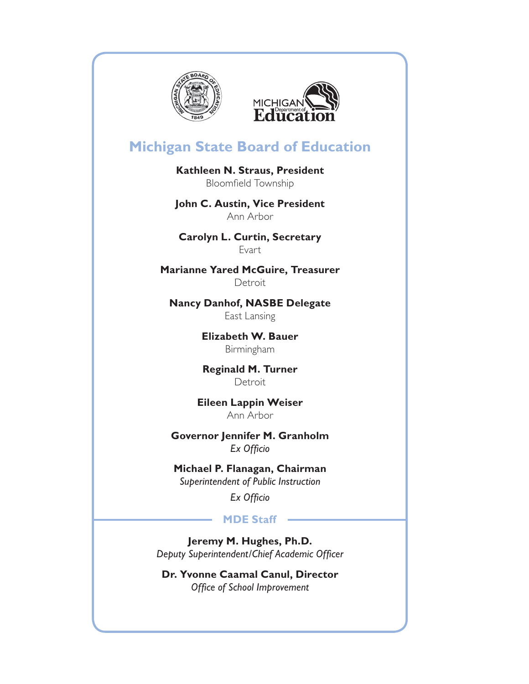



## **Michigan State Board of Education**

**Kathleen N. Straus, President**  Bloomfield Township

**John C. Austin, Vice President**  Ann Arbor

**Carolyn L. Curtin, Secretary** Evart

**Marianne Yared McGuire, Treasurer Detroit** 

**Nancy Danhof, NASBE Delegate** East Lansing

> **Elizabeth W. Bauer** Birmingham

> **Reginald M. Turner Detroit**

**Eileen Lappin Weiser** Ann Arbor

**Governor Jennifer M. Granholm Ex Officio** 

**Michael P. Flanagan, Chairman** *Superintendent of Public Instruction*

*Ex Officio* 

#### **MDE Staff**

**Jeremy M. Hughes, Ph.D. Deputy Superintendent/Chief Academic Officer** 

**Dr. Yvonne Caamal Canul, Director Office of School Improvement**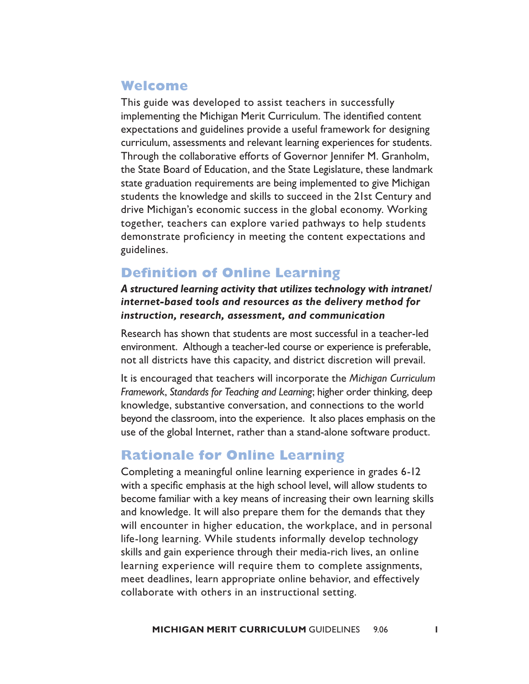## **Welcome**

This guide was developed to assist teachers in successfully implementing the Michigan Merit Curriculum. The identified content expectations and guidelines provide a useful framework for designing curriculum, assessments and relevant learning experiences for students. Through the collaborative efforts of Governor Jennifer M. Granholm, the State Board of Education, and the State Legislature, these landmark state graduation requirements are being implemented to give Michigan students the knowledge and skills to succeed in the 21st Century and drive Michigan's economic success in the global economy. Working together, teachers can explore varied pathways to help students demonstrate proficiency in meeting the content expectations and guidelines.

## **Definition of Online Learning**

#### *A structured learning activity that utilizes technology with intranet/ internet-based tools and resources as the delivery method for instruction, research, assessment, and communication*

Research has shown that students are most successful in a teacher-led environment. Although a teacher-led course or experience is preferable, not all districts have this capacity, and district discretion will prevail.

It is encouraged that teachers will incorporate the *Michigan Curriculum Framework*, *Standards for Teaching and Learning*; higher order thinking, deep knowledge, substantive conversation, and connections to the world beyond the classroom, into the experience. It also places emphasis on the use of the global Internet, rather than a stand-alone software product.

## **Rationale for Online Learning**

Completing a meaningful online learning experience in grades 6-12 with a specific emphasis at the high school level, will allow students to become familiar with a key means of increasing their own learning skills and knowledge. It will also prepare them for the demands that they will encounter in higher education, the workplace, and in personal life-long learning. While students informally develop technology skills and gain experience through their media-rich lives, an online learning experience will require them to complete assignments, meet deadlines, learn appropriate online behavior, and effectively collaborate with others in an instructional setting.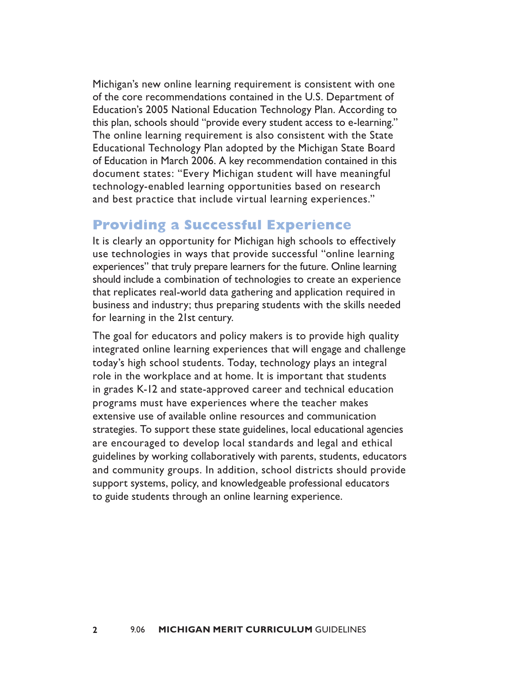Michigan's new online learning requirement is consistent with one of the core recommendations contained in the U.S. Department of Education's 2005 National Education Technology Plan. According to this plan, schools should "provide every student access to e-learning." The online learning requirement is also consistent with the State Educational Technology Plan adopted by the Michigan State Board of Education in March 2006. A key recommendation contained in this document states: "Every Michigan student will have meaningful technology-enabled learning opportunities based on research and best practice that include virtual learning experiences."

## **Providing a Successful Experience**

It is clearly an opportunity for Michigan high schools to effectively use technologies in ways that provide successful "online learning experiences" that truly prepare learners for the future. Online learning should include a combination of technologies to create an experience that replicates real-world data gathering and application required in business and industry; thus preparing students with the skills needed for learning in the 21st century.

The goal for educators and policy makers is to provide high quality integrated online learning experiences that will engage and challenge today's high school students. Today, technology plays an integral role in the workplace and at home. It is important that students in grades K-12 and state-approved career and technical education programs must have experiences where the teacher makes extensive use of available online resources and communication strategies. To support these state guidelines, local educational agencies are encouraged to develop local standards and legal and ethical guidelines by working collaboratively with parents, students, educators and community groups. In addition, school districts should provide support systems, policy, and knowledgeable professional educators to guide students through an online learning experience.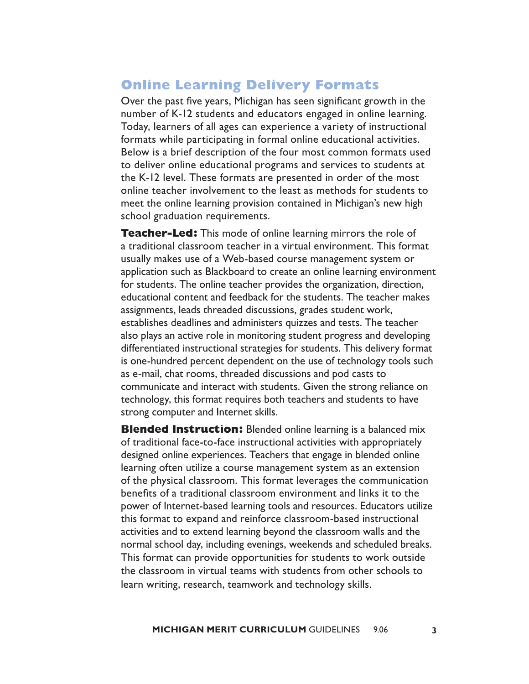## **Online Learning Delivery Formats**

Over the past five years, Michigan has seen significant growth in the number of K-12 students and educators engaged in online learning. Today, learners of all ages can experience a variety of instructional formats while participating in formal online educational activities. Below is a brief description of the four most common formats used to deliver online educational programs and services to students at the K-12 level. These formats are presented in order of the most online teacher involvement to the least as methods for students to meet the online learning provision contained in Michigan's new high school graduation requirements.

**Teacher-Led:** This mode of online learning mirrors the role of a traditional classroom teacher in a virtual environment. This format usually makes use of a Web-based course management system or application such as Blackboard to create an online learning environment for students. The online teacher provides the organization, direction, educational content and feedback for the students. The teacher makes assignments, leads threaded discussions, grades student work, establishes deadlines and administers quizzes and tests. The teacher also plays an active role in monitoring student progress and developing differentiated instructional strategies for students. This delivery format is one-hundred percent dependent on the use of technology tools such as e-mail, chat rooms, threaded discussions and pod casts to communicate and interact with students. Given the strong reliance on technology, this format requires both teachers and students to have strong computer and Internet skills.

**Blended Instruction:** Blended online learning is a balanced mix of traditional face-to-face instructional activities with appropriately designed online experiences. Teachers that engage in blended online learning often utilize a course management system as an extension of the physical classroom. This format leverages the communication benefits of a traditional classroom environment and links it to the power of Internet-based learning tools and resources. Educators utilize this format to expand and reinforce classroom-based instructional activities and to extend learning beyond the classroom walls and the normal school day, including evenings, weekends and scheduled breaks. This format can provide opportunities for students to work outside the classroom in virtual teams with students from other schools to learn writing, research, teamwork and technology skills.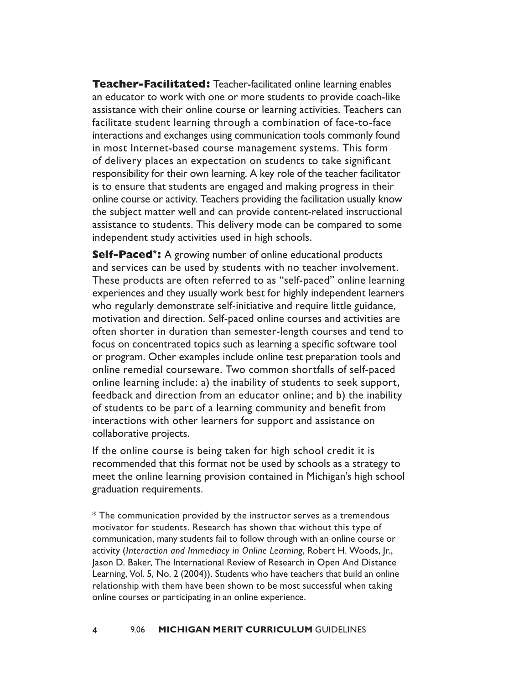**Teacher-Facilitated:** Teacher-facilitated online learning enables an educator to work with one or more students to provide coach-like assistance with their online course or learning activities. Teachers can facilitate student learning through a combination of face-to-face interactions and exchanges using communication tools commonly found in most Internet-based course management systems. This form of delivery places an expectation on students to take significant responsibility for their own learning. A key role of the teacher facilitator is to ensure that students are engaged and making progress in their online course or activity. Teachers providing the facilitation usually know the subject matter well and can provide content-related instructional assistance to students. This delivery mode can be compared to some independent study activities used in high schools.

**Self-Paced\*:** A growing number of online educational products and services can be used by students with no teacher involvement. These products are often referred to as "self-paced" online learning experiences and they usually work best for highly independent learners who regularly demonstrate self-initiative and require little guidance, motivation and direction. Self-paced online courses and activities are often shorter in duration than semester-length courses and tend to focus on concentrated topics such as learning a specific software tool or program. Other examples include online test preparation tools and online remedial courseware. Two common shortfalls of self-paced online learning include: a) the inability of students to seek support, feedback and direction from an educator online; and b) the inability of students to be part of a learning community and benefit from interactions with other learners for support and assistance on collaborative projects.

If the online course is being taken for high school credit it is recommended that this format not be used by schools as a strategy to meet the online learning provision contained in Michigan's high school graduation requirements.

\* The communication provided by the instructor serves as a tremendous motivator for students. Research has shown that without this type of communication, many students fail to follow through with an online course or activity (*Interaction and Immediacy in Online Learning*, Robert H. Woods, Jr., Jason D. Baker, The International Review of Research in Open And Distance Learning, Vol. 5, No. 2 (2004)). Students who have teachers that build an online relationship with them have been shown to be most successful when taking online courses or participating in an online experience.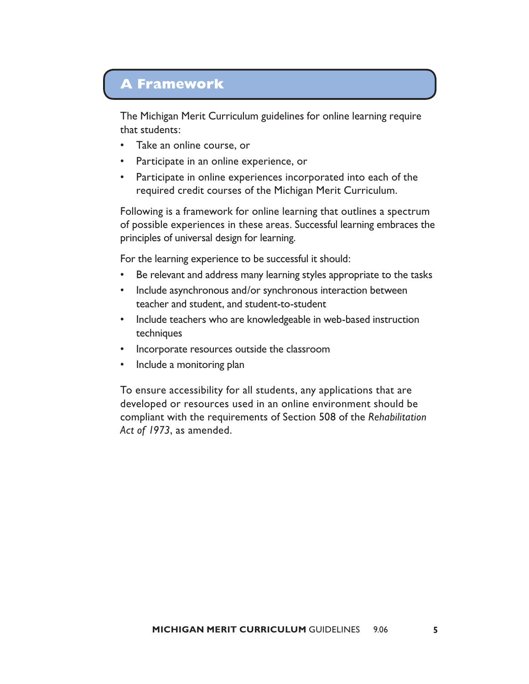## **A Framework**

The Michigan Merit Curriculum guidelines for online learning require that students:

- Take an online course, or
- Participate in an online experience, or
- Participate in online experiences incorporated into each of the required credit courses of the Michigan Merit Curriculum.

Following is a framework for online learning that outlines a spectrum of possible experiences in these areas. Successful learning embraces the principles of universal design for learning.

For the learning experience to be successful it should:

- Be relevant and address many learning styles appropriate to the tasks
- Include asynchronous and/or synchronous interaction between teacher and student, and student-to-student
- Include teachers who are knowledgeable in web-based instruction techniques
- Incorporate resources outside the classroom
- Include a monitoring plan

To ensure accessibility for all students, any applications that are developed or resources used in an online environment should be compliant with the requirements of Section 508 of the *Rehabilitation Act of 1973*, as amended.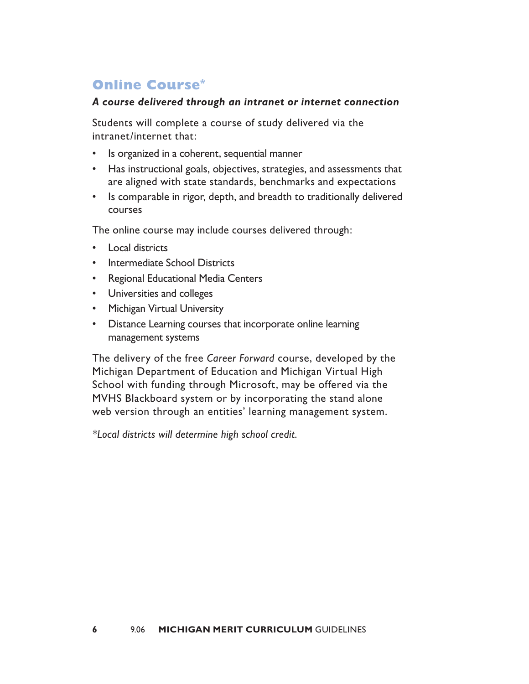## **Online Course\***

#### *A course delivered through an intranet or internet connection*

Students will complete a course of study delivered via the intranet/internet that:

- Is organized in a coherent, sequential manner
- Has instructional goals, objectives, strategies, and assessments that are aligned with state standards, benchmarks and expectations
- Is comparable in rigor, depth, and breadth to traditionally delivered courses

The online course may include courses delivered through:

- Local districts
- Intermediate School Districts
- Regional Educational Media Centers
- Universities and colleges
- Michigan Virtual University
- Distance Learning courses that incorporate online learning management systems

The delivery of the free *Career Forward* course, developed by the Michigan Department of Education and Michigan Virtual High School with funding through Microsoft, may be offered via the MVHS Blackboard system or by incorporating the stand alone web version through an entities' learning management system.

*\*Local districts will determine high school credit.*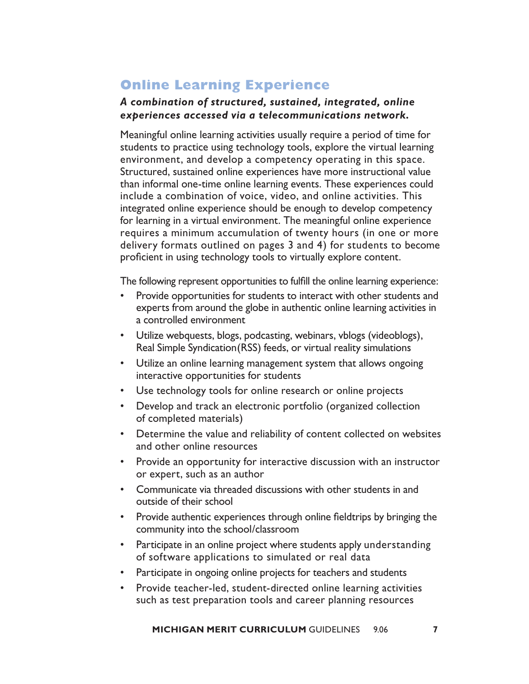## **Online Learning Experience**

#### *A combination of structured, sustained, integrated, online experiences accessed via a telecommunications network.*

Meaningful online learning activities usually require a period of time for students to practice using technology tools, explore the virtual learning environment, and develop a competency operating in this space. Structured, sustained online experiences have more instructional value than informal one-time online learning events. These experiences could include a combination of voice, video, and online activities. This integrated online experience should be enough to develop competency for learning in a virtual environment. The meaningful online experience requires a minimum accumulation of twenty hours (in one or more delivery formats outlined on pages 3 and 4) for students to become proficient in using technology tools to virtually explore content.

The following represent opportunities to fulfill the online learning experience:

- Provide opportunities for students to interact with other students and experts from around the globe in authentic online learning activities in a controlled environment
- Utilize webquests, blogs, podcasting, webinars, vblogs (videoblogs), Real Simple Syndication(RSS) feeds, or virtual reality simulations
- Utilize an online learning management system that allows ongoing interactive opportunities for students
- Use technology tools for online research or online projects
- Develop and track an electronic portfolio (organized collection of completed materials)
- Determine the value and reliability of content collected on websites and other online resources
- Provide an opportunity for interactive discussion with an instructor or expert, such as an author
- Communicate via threaded discussions with other students in and outside of their school
- Provide authentic experiences through online fieldtrips by bringing the community into the school/classroom
- Participate in an online project where students apply understanding of software applications to simulated or real data
- Participate in ongoing online projects for teachers and students
- Provide teacher-led, student-directed online learning activities such as test preparation tools and career planning resources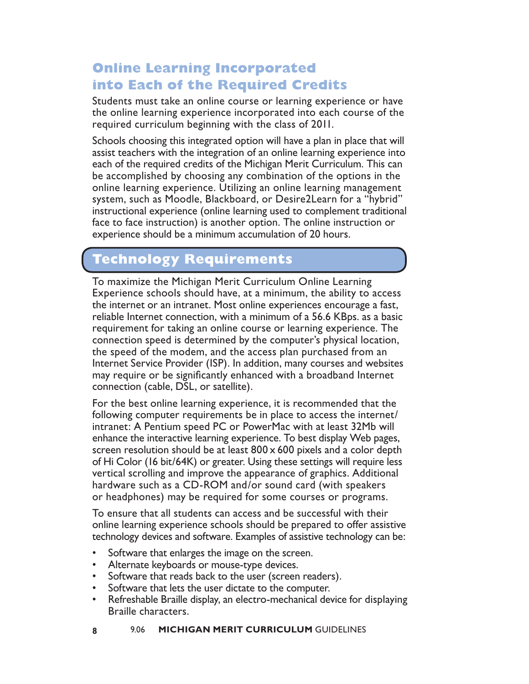## **Online Learning Incorporated into Each of the Required Credits**

Students must take an online course or learning experience or have the online learning experience incorporated into each course of the required curriculum beginning with the class of 2011.

Schools choosing this integrated option will have a plan in place that will assist teachers with the integration of an online learning experience into each of the required credits of the Michigan Merit Curriculum. This can be accomplished by choosing any combination of the options in the online learning experience. Utilizing an online learning management system, such as Moodle, Blackboard, or Desire2Learn for a "hybrid" instructional experience (online learning used to complement traditional face to face instruction) is another option. The online instruction or experience should be a minimum accumulation of 20 hours.

## **Technology Requirements**

To maximize the Michigan Merit Curriculum Online Learning Experience schools should have, at a minimum, the ability to access the internet or an intranet. Most online experiences encourage a fast, reliable Internet connection, with a minimum of a 56.6 KBps. as a basic requirement for taking an online course or learning experience. The connection speed is determined by the computer's physical location, the speed of the modem, and the access plan purchased from an Internet Service Provider (ISP). In addition, many courses and websites may require or be significantly enhanced with a broadband Internet connection (cable, DSL, or satellite).

For the best online learning experience, it is recommended that the following computer requirements be in place to access the internet/ intranet: A Pentium speed PC or PowerMac with at least 32Mb will enhance the interactive learning experience. To best display Web pages, screen resolution should be at least  $800 \times 600$  pixels and a color depth of Hi Color (16 bit/64K) or greater. Using these settings will require less vertical scrolling and improve the appearance of graphics. Additional hardware such as a CD-ROM and/or sound card (with speakers or headphones) may be required for some courses or programs.

To ensure that all students can access and be successful with their online learning experience schools should be prepared to offer assistive technology devices and software. Examples of assistive technology can be:

- Software that enlarges the image on the screen.
- Alternate keyboards or mouse-type devices.
- Software that reads back to the user (screen readers).
- Software that lets the user dictate to the computer.
- Refreshable Braille display, an electro-mechanical device for displaying Braille characters.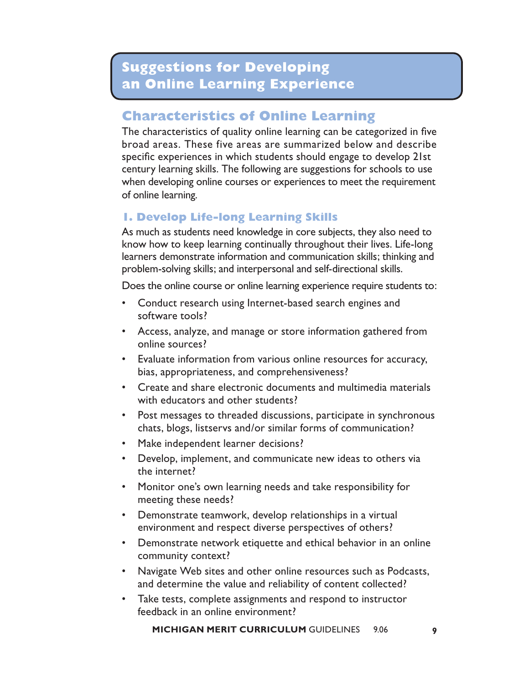## **Characteristics of Online Learning**

The characteristics of quality online learning can be categorized in five broad areas. These five areas are summarized below and describe specific experiences in which students should engage to develop 21st century learning skills. The following are suggestions for schools to use when developing online courses or experiences to meet the requirement of online learning.

## **1. Develop Life-long Learning Skills**

As much as students need knowledge in core subjects, they also need to know how to keep learning continually throughout their lives. Life-long learners demonstrate information and communication skills; thinking and problem-solving skills; and interpersonal and self-directional skills.

Does the online course or online learning experience require students to:

- Conduct research using Internet-based search engines and software tools?
- Access, analyze, and manage or store information gathered from online sources?
- Evaluate information from various online resources for accuracy, bias, appropriateness, and comprehensiveness?
- Create and share electronic documents and multimedia materials with educators and other students?
- Post messages to threaded discussions, participate in synchronous chats, blogs, listservs and/or similar forms of communication?
- Make independent learner decisions?
- Develop, implement, and communicate new ideas to others via the internet?
- Monitor one's own learning needs and take responsibility for meeting these needs?
- Demonstrate teamwork, develop relationships in a virtual environment and respect diverse perspectives of others?
- Demonstrate network etiquette and ethical behavior in an online community context?
- Navigate Web sites and other online resources such as Podcasts, and determine the value and reliability of content collected?
- Take tests, complete assignments and respond to instructor feedback in an online environment?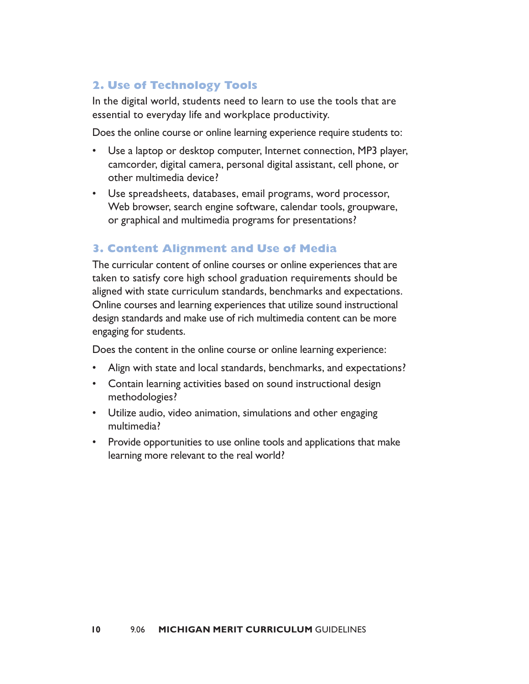## **2. Use of Technology Tools**

In the digital world, students need to learn to use the tools that are essential to everyday life and workplace productivity.

Does the online course or online learning experience require students to:

- Use a laptop or desktop computer, Internet connection, MP3 player, camcorder, digital camera, personal digital assistant, cell phone, or other multimedia device?
- Use spreadsheets, databases, email programs, word processor, Web browser, search engine software, calendar tools, groupware, or graphical and multimedia programs for presentations?

#### **3. Content Alignment and Use of Media**

The curricular content of online courses or online experiences that are taken to satisfy core high school graduation requirements should be aligned with state curriculum standards, benchmarks and expectations. Online courses and learning experiences that utilize sound instructional design standards and make use of rich multimedia content can be more engaging for students.

Does the content in the online course or online learning experience:

- Align with state and local standards, benchmarks, and expectations?
- Contain learning activities based on sound instructional design methodologies?
- Utilize audio, video animation, simulations and other engaging multimedia?
- Provide opportunities to use online tools and applications that make learning more relevant to the real world?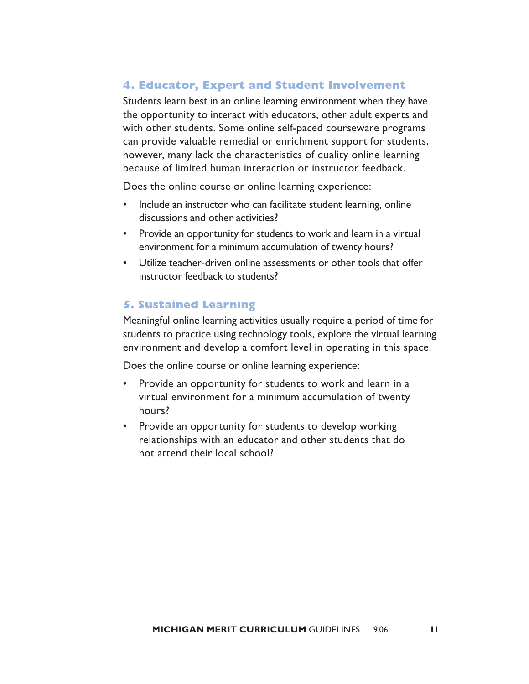#### **4. Educator, Expert and Student Involvement**

Students learn best in an online learning environment when they have the opportunity to interact with educators, other adult experts and with other students. Some online self-paced courseware programs can provide valuable remedial or enrichment support for students, however, many lack the characteristics of quality online learning because of limited human interaction or instructor feedback.

Does the online course or online learning experience:

- Include an instructor who can facilitate student learning, online discussions and other activities?
- Provide an opportunity for students to work and learn in a virtual environment for a minimum accumulation of twenty hours?
- Utilize teacher-driven online assessments or other tools that offer instructor feedback to students?

#### **5. Sustained Learning**

Meaningful online learning activities usually require a period of time for students to practice using technology tools, explore the virtual learning environment and develop a comfort level in operating in this space.

Does the online course or online learning experience:

- Provide an opportunity for students to work and learn in a virtual environment for a minimum accumulation of twenty hours?
- Provide an opportunity for students to develop working relationships with an educator and other students that do not attend their local school?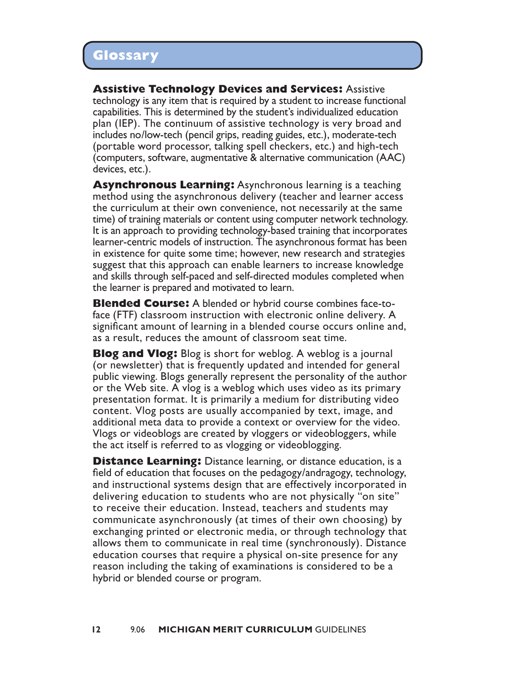**Assistive Technology Devices and Services:** Assistive technology is any item that is required by a student to increase functional capabilities. This is determined by the student's individualized education plan (IEP). The continuum of assistive technology is very broad and includes no/low-tech (pencil grips, reading guides, etc.), moderate-tech (portable word processor, talking spell checkers, etc.) and high-tech (computers, software, augmentative & alternative communication (AAC) devices, etc.).

**Asynchronous Learning:** Asynchronous learning is a teaching method using the asynchronous delivery (teacher and learner access the curriculum at their own convenience, not necessarily at the same time) of training materials or content using computer network technology. It is an approach to providing technology-based training that incorporates learner-centric models of instruction. The asynchronous format has been in existence for quite some time; however, new research and strategies suggest that this approach can enable learners to increase knowledge and skills through self-paced and self-directed modules completed when the learner is prepared and motivated to learn.

**Blended Course:** A blended or hybrid course combines face-toface (FTF) classroom instruction with electronic online delivery. A significant amount of learning in a blended course occurs online and, as a result, reduces the amount of classroom seat time.

**Blog and Vlog:** Blog is short for weblog. A weblog is a journal (or newsletter) that is frequently updated and intended for general public viewing. Blogs generally represent the personality of the author or the Web site. A vlog is a weblog which uses video as its primary presentation format. It is primarily a medium for distributing video content. Vlog posts are usually accompanied by text, image, and additional meta data to provide a context or overview for the video. Vlogs or videoblogs are created by vloggers or videobloggers, while the act itself is referred to as vlogging or videoblogging.

**Distance Learning:** Distance learning, or distance education, is a field of education that focuses on the pedagogy/andragogy, technology, and instructional systems design that are effectively incorporated in delivering education to students who are not physically "on site" to receive their education. Instead, teachers and students may communicate asynchronously (at times of their own choosing) by exchanging printed or electronic media, or through technology that allows them to communicate in real time (synchronously). Distance education courses that require a physical on-site presence for any reason including the taking of examinations is considered to be a hybrid or blended course or program.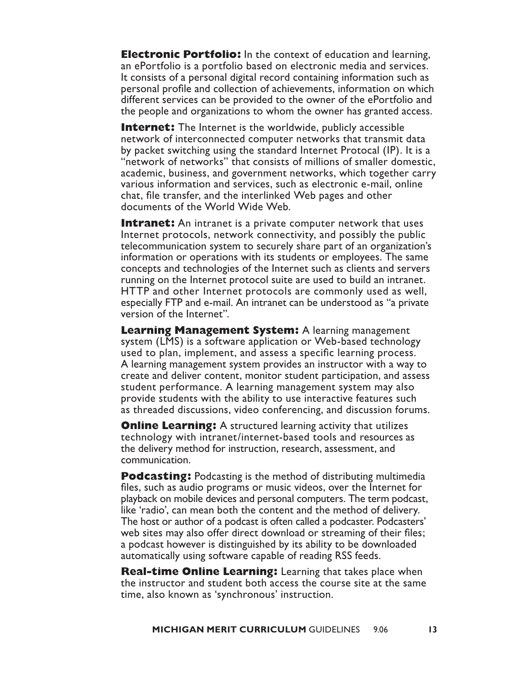**Electronic Portfolio:** In the context of education and learning, an ePortfolio is a portfolio based on electronic media and services. It consists of a personal digital record containing information such as personal profile and collection of achievements, information on which different services can be provided to the owner of the ePortfolio and the people and organizations to whom the owner has granted access.

**Internet:** The Internet is the worldwide, publicly accessible network of interconnected computer networks that transmit data by packet switching using the standard Internet Protocal (IP). It is a "network of networks" that consists of millions of smaller domestic, academic, business, and government networks, which together carry various information and services, such as electronic e-mail, online chat, file transfer, and the interlinked Web pages and other documents of the World Wide Web.

**Intranet:** An intranet is a private computer network that uses Internet protocols, network connectivity, and possibly the public telecommunication system to securely share part of an organization's information or operations with its students or employees. The same concepts and technologies of the Internet such as clients and servers running on the Internet protocol suite are used to build an intranet. HTTP and other Internet protocols are commonly used as well, especially FTP and e-mail. An intranet can be understood as "a private version of the Internet".

**Learning Management System:** A learning management system (LMS) is a software application or Web-based technology used to plan, implement, and assess a specific learning process. A learning management system provides an instructor with a way to create and deliver content, monitor student participation, and assess student performance. A learning management system may also provide students with the ability to use interactive features such as threaded discussions, video conferencing, and discussion forums.

**Online Learning:** A structured learning activity that utilizes technology with intranet/internet-based tools and resources as the delivery method for instruction, research, assessment, and communication.

**Podcasting:** Podcasting is the method of distributing multimedia files, such as audio programs or music videos, over the Internet for playback on mobile devices and personal computers. The term podcast, like 'radio', can mean both the content and the method of delivery. The host or author of a podcast is often called a podcaster. Podcasters' web sites may also offer direct download or streaming of their files; a podcast however is distinguished by its ability to be downloaded automatically using software capable of reading RSS feeds.

**Real-time Online Learning:** Learning that takes place when the instructor and student both access the course site at the same time, also known as 'synchronous' instruction.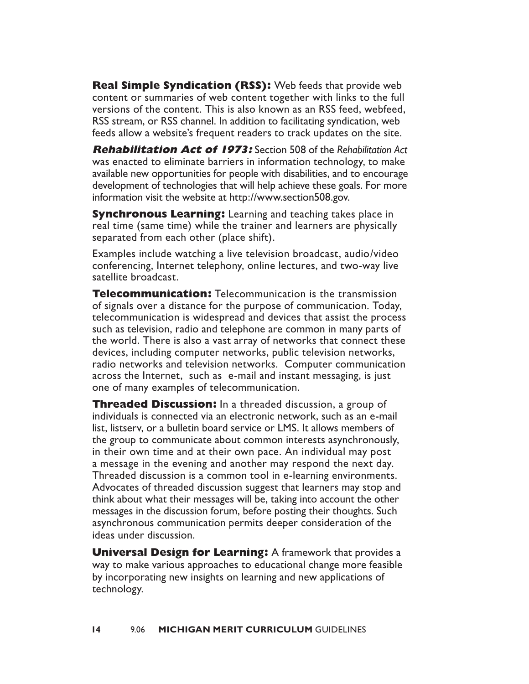**Real Simple Syndication (RSS):** Web feeds that provide web content or summaries of web content together with links to the full versions of the content. This is also known as an RSS feed, webfeed, RSS stream, or RSS channel. In addition to facilitating syndication, web feeds allow a website's frequent readers to track updates on the site.

**Rehabilitation Act of 1973:** Section 508 of the *Rehabilitation Act*  was enacted to eliminate barriers in information technology, to make available new opportunities for people with disabilities, and to encourage development of technologies that will help achieve these goals. For more information visit the website at http://www.section508.gov.

**Synchronous Learning:** Learning and teaching takes place in real time (same time) while the trainer and learners are physically separated from each other (place shift).

Examples include watching a live television broadcast, audio/video conferencing, Internet telephony, online lectures, and two-way live satellite broadcast.

**Telecommunication:** Telecommunication is the transmission of signals over a distance for the purpose of communication. Today, telecommunication is widespread and devices that assist the process such as television, radio and telephone are common in many parts of the world. There is also a vast array of networks that connect these devices, including computer networks, public television networks, radio networks and television networks. Computer communication across the Internet, such as e-mail and instant messaging, is just one of many examples of telecommunication.

**Threaded Discussion:** In a threaded discussion, a group of individuals is connected via an electronic network, such as an e-mail list, listserv, or a bulletin board service or LMS. It allows members of the group to communicate about common interests asynchronously, in their own time and at their own pace. An individual may post a message in the evening and another may respond the next day. Threaded discussion is a common tool in e-learning environments. Advocates of threaded discussion suggest that learners may stop and think about what their messages will be, taking into account the other messages in the discussion forum, before posting their thoughts. Such asynchronous communication permits deeper consideration of the ideas under discussion.

**Universal Design for Learning:** A framework that provides a way to make various approaches to educational change more feasible by incorporating new insights on learning and new applications of technology.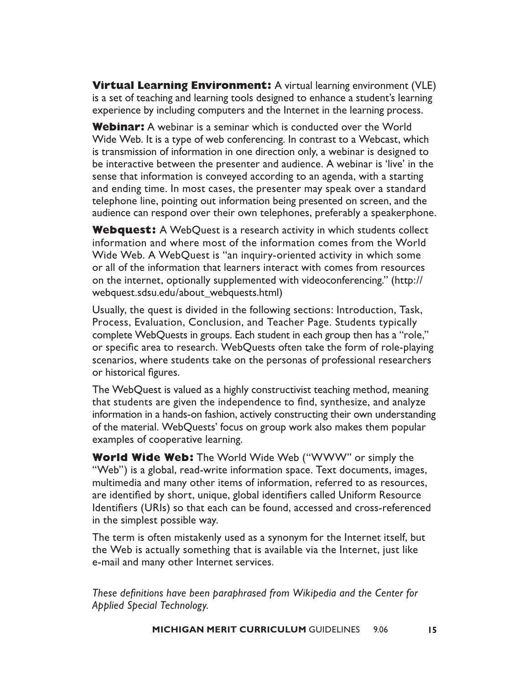**Virtual Learning Environment:** A virtual learning environment (VLE) is a set of teaching and learning tools designed to enhance a student's learning experience by including computers and the Internet in the learning process.

**Webinar:** A webinar is a seminar which is conducted over the World Wide Web. It is a type of web conferencing. In contrast to a Webcast, which is transmission of information in one direction only, a webinar is designed to be interactive between the presenter and audience. A webinar is 'live' in the sense that information is conveyed according to an agenda, with a starting and ending time. In most cases, the presenter may speak over a standard telephone line, pointing out information being presented on screen, and the audience can respond over their own telephones, preferably a speakerphone.

**Webquest:** A WebQuest is a research activity in which students collect information and where most of the information comes from the World Wide Web. A WebQuest is "an inquiry-oriented activity in which some or all of the information that learners interact with comes from resources on the internet, optionally supplemented with videoconferencing." (http:// webquest.sdsu.edu/about\_webquests.html)

Usually, the quest is divided in the following sections: Introduction, Task, Process, Evaluation, Conclusion, and Teacher Page. Students typically complete WebQuests in groups. Each student in each group then has a "role," or specific area to research. WebQuests often take the form of role-playing scenarios, where students take on the personas of professional researchers or historical figures.

The WebQuest is valued as a highly constructivist teaching method, meaning that students are given the independence to find, synthesize, and analyze information in a hands-on fashion, actively constructing their own understanding of the material. WebQuests' focus on group work also makes them popular examples of cooperative learning.

**World Wide Web:** The World Wide Web ("WWW" or simply the "Web") is a global, read-write information space. Text documents, images, multimedia and many other items of information, referred to as resources, are identified by short, unique, global identifiers called Uniform Resource Identifiers (URIs) so that each can be found, accessed and cross-referenced in the simplest possible way.

The term is often mistakenly used as a synonym for the Internet itself, but the Web is actually something that is available via the Internet, just like e-mail and many other Internet services.

These definitions have been paraphrased from Wikipedia and the Center for *Applied Special Technology.*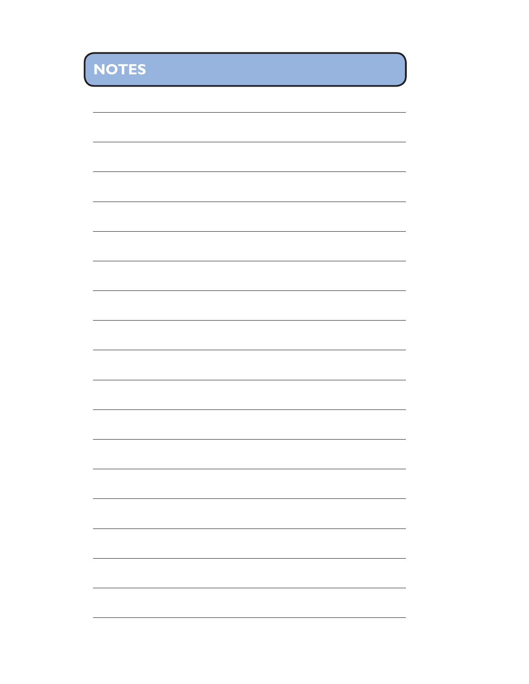**NOTES**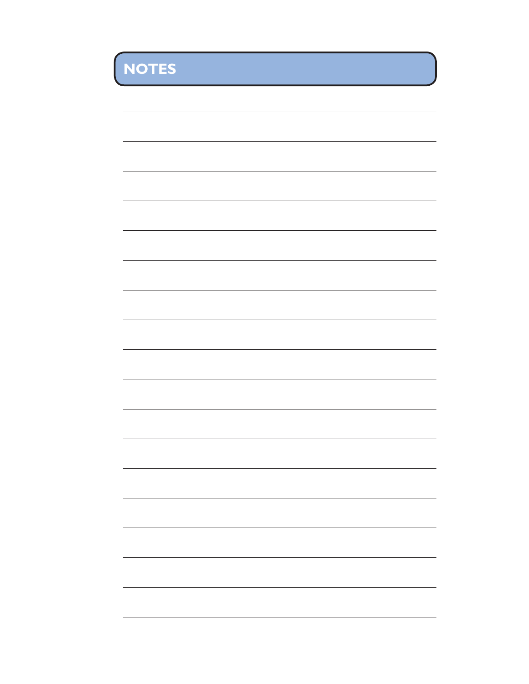| ۰                                                                                                                     | _                      |                                                                                                                      |
|-----------------------------------------------------------------------------------------------------------------------|------------------------|----------------------------------------------------------------------------------------------------------------------|
| <b>Contract Contract Contract Contract Contract Contract Contract Contract Contract Contract Contract Contract Co</b> | <b>Service Service</b> | <b>STATE OF A STATE OF A STATE OF A STATE OF A STATE OF A STATE OF A STATE OF A STATE OF A STATE OF A STATE OF A</b> |

<u> 1989 - Johann Stoff, amerikansk politiker (\* 1908)</u> L. <u> 1980 - Johann Barn, mars ann an t-</u> ,我们也不能在这里的时候,我们也不能在这里的时候,我们也不能会在这里的时候,我们也不能会在这里的时候,我们也不能会在这里的时候,我们也不能会在这里的时候,我们也  $\overline{\phantom{0}}$